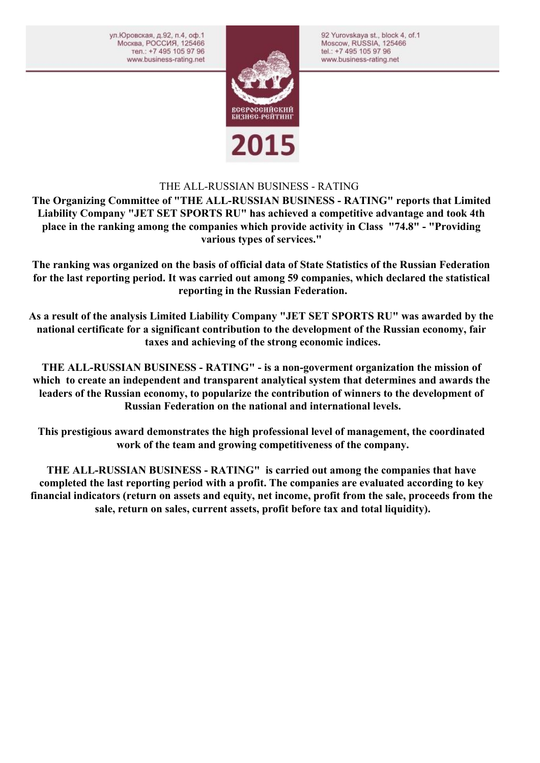ул.Юровская, д.92, п.4, оф.1 Москва, РОССИЯ, 125466 тел.: +7 495 105 97 96 www.business-rating.net



92 Yurovskaya st., block 4, of.1

Moscow, RUSSIA, 125466

tel.: +7 495 105 97 96

www.business-rating.net

## THE ALL-RUSSIAN BUSINESS - RATING

**The Organizing Committee of "THE ALL-RUSSIAN BUSINESS - RATING" reports that Limited Liability Company "JET SET SPORTS RU" has achieved a competitive advantage and took 4th place in the ranking among the companies which provide activity in Class "74.8" - "Providing various types of services."** 

**The ranking was organized on the basis of official data of State Statistics of the Russian Federation for the last reporting period. It was carried out among 59 companies, which declared the statistical reporting in the Russian Federation.**

**As a result of the analysis Limited Liability Company "JET SET SPORTS RU" was awarded by the national certificate for a significant contribution to the development of the Russian economy, fair taxes and achieving of the strong economic indices.**

**THE ALL-RUSSIAN BUSINESS - RATING" - is a non-goverment organization the mission of which to create an independent and transparent analytical system that determines and awards the leaders of the Russian economy, to popularize the contribution of winners to the development of Russian Federation on the national and international levels.**

**This prestigious award demonstrates the high professional level of management, the coordinated work of the team and growing competitiveness of the company.**

**THE ALL-RUSSIAN BUSINESS - RATING" is carried out among the companies that have completed the last reporting period with a profit. The companies are evaluated according to key financial indicators (return on assets and equity, net income, profit from the sale, proceeds from the sale, return on sales, current assets, profit before tax and total liquidity).**